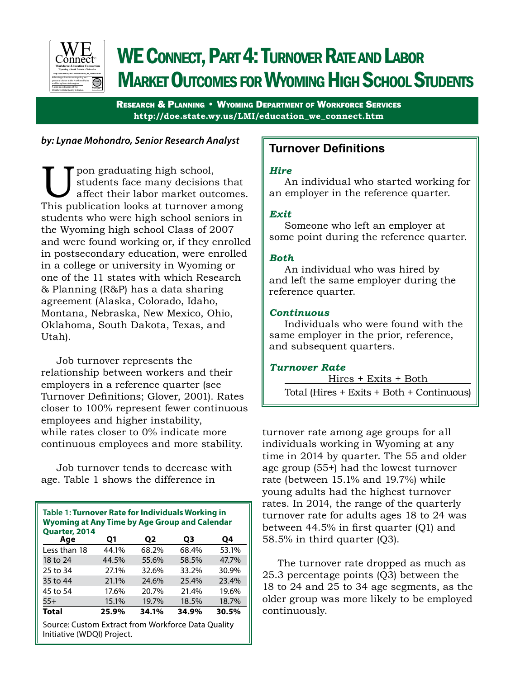

# WE CONNECT, PART 4: TURNOVER RATE AND LABOR **MARKET OUTCOMES FOR WYOMING HIGH SCHOOL STUDENTS**

Research & Planning • Wyoming Department of Workforce Services **http://doe.state.wy.us/LMI/education\_we\_connect.htm**

## *by: Lynae Mohondro, Senior Research Analyst*

U pon graduating high school,<br>
students face many decisions that<br>
affect their labor market outcomes<br>
This publication looks at turnover among students face many decisions that affect their labor market outcomes. students who were high school seniors in the Wyoming high school Class of 2007 and were found working or, if they enrolled in postsecondary education, were enrolled in a college or university in Wyoming or one of the 11 states with which Research & Planning (R&P) has a data sharing agreement (Alaska, Colorado, Idaho, Montana, Nebraska, New Mexico, Ohio, Oklahoma, South Dakota, Texas, and Utah).

Job turnover represents the relationship between workers and their employers in a reference quarter (see Turnover Definitions; Glover, 2001). Rates closer to 100% represent fewer continuous employees and higher instability, while rates closer to 0% indicate more continuous employees and more stability.

Job turnover tends to decrease with age. Table 1 shows the difference in

| Table 1: Turnover Rate for Individuals Working in<br><b>Wyoming at Any Time by Age Group and Calendar</b><br><b>Quarter, 2014</b> |       |       |       |       |  |  |  |
|-----------------------------------------------------------------------------------------------------------------------------------|-------|-------|-------|-------|--|--|--|
| Age                                                                                                                               | Q1    | Q2    | Q3    | Q4    |  |  |  |
| Less than 18                                                                                                                      | 44.1% | 68.2% | 68.4% | 53.1% |  |  |  |
| 18 to 24                                                                                                                          | 44.5% | 55.6% | 58.5% | 47.7% |  |  |  |
| 25 to 34                                                                                                                          | 27.1% | 32.6% | 33.2% | 30.9% |  |  |  |
| 35 to 44                                                                                                                          | 21.1% | 24.6% | 25.4% | 23.4% |  |  |  |
| 45 to 54                                                                                                                          | 17.6% | 20.7% | 21.4% | 19.6% |  |  |  |
| $55+$                                                                                                                             | 15.1% | 19.7% | 18.5% | 18.7% |  |  |  |
| Total                                                                                                                             | 25.9% | 34.1% | 34.9% | 30.5% |  |  |  |
| Source: Custom Extract from Workforce Data Quality<br>Initiative (WDQI) Project.                                                  |       |       |       |       |  |  |  |

# **Turnover Definitions**

## *Hire*

An individual who started working for an employer in the reference quarter.

## *Exit*

Someone who left an employer at some point during the reference quarter.

## *Both*

An individual who was hired by and left the same employer during the reference quarter.

## *Continuous*

Individuals who were found with the same employer in the prior, reference, and subsequent quarters.

## *Turnover Rate*

Hires + Exits + Both

Total (Hires + Exits + Both + Continuous)

turnover rate among age groups for all individuals working in Wyoming at any time in 2014 by quarter. The 55 and older age group (55+) had the lowest turnover rate (between 15.1% and 19.7%) while young adults had the highest turnover rates. In 2014, the range of the quarterly turnover rate for adults ages 18 to 24 was between 44.5% in first quarter (Q1) and 58.5% in third quarter (Q3).

The turnover rate dropped as much as 25.3 percentage points (Q3) between the 18 to 24 and 25 to 34 age segments, as the older group was more likely to be employed continuously.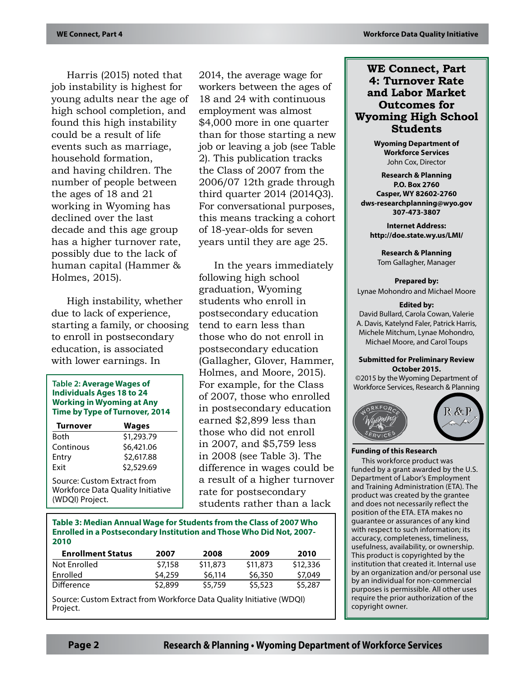Harris (2015) noted that job instability is highest for young adults near the age of high school completion, and found this high instability could be a result of life events such as marriage, household formation, and having children. The number of people between the ages of 18 and 21 working in Wyoming has declined over the last decade and this age group has a higher turnover rate, possibly due to the lack of human capital (Hammer & Holmes, 2015).

High instability, whether due to lack of experience, starting a family, or choosing to enroll in postsecondary education, is associated with lower earnings. In

#### **Table 2: Average Wages of Individuals Ages 18 to 24 Working in Wyoming at Any Time by Type of Turnover, 2014**

| <b>Turnover</b>                                                                            | <b>Wages</b> |  |  |  |  |
|--------------------------------------------------------------------------------------------|--------------|--|--|--|--|
| Both                                                                                       | \$1,293.79   |  |  |  |  |
| Continous                                                                                  | \$6,421.06   |  |  |  |  |
| Entry                                                                                      | \$2,617.88   |  |  |  |  |
| Fxit                                                                                       | \$2,529.69   |  |  |  |  |
| Source: Custom Extract from<br><b>Workforce Data Quality Initiative</b><br>(WDQI) Project. |              |  |  |  |  |

2014, the average wage for workers between the ages of 18 and 24 with continuous employment was almost \$4,000 more in one quarter than for those starting a new job or leaving a job (see Table 2). This publication tracks the Class of 2007 from the 2006/07 12th grade through third quarter 2014 (2014Q3). For conversational purposes, this means tracking a cohort of 18-year-olds for seven years until they are age 25.

In the years immediately following high school graduation, Wyoming students who enroll in postsecondary education tend to earn less than those who do not enroll in postsecondary education (Gallagher, Glover, Hammer, Holmes, and Moore, 2015). For example, for the Class of 2007, those who enrolled in postsecondary education earned \$2,899 less than those who did not enroll in 2007, and \$5,759 less in 2008 (see Table 3). The difference in wages could be a result of a higher turnover rate for postsecondary students rather than a lack

#### **Table 3: Median Annual Wage for Students from the Class of 2007 Who Enrolled in a Postsecondary Institution and Those Who Did Not, 2007- 2010**

| <b>Enrollment Status</b> | 2007    | 2008     | 2009     | 2010     |
|--------------------------|---------|----------|----------|----------|
| Not Enrolled             | \$7,158 | \$11,873 | \$11,873 | \$12,336 |
| Enrolled                 | \$4,259 | S6.114   | \$6,350  | \$7,049  |
| Difference               | \$2,899 | \$5,759  | \$5,523  | \$5,287  |

Source: Custom Extract from Workforce Data Quality Initiative (WDQI) Project.

## **WE Connect, Part 4: Turnover Rate and Labor Market Outcomes for Wyoming High School Students**

**Wyoming Department of Workforce Services** John Cox, Director

**Research & Planning P.O. Box 2760 Casper, WY 82602-2760 dws-researchplanning@wyo.gov 307-473-3807**

**Internet Address: http://doe.state.wy.us/LMI/**

**Research & Planning** Tom Gallagher, Manager

**Prepared by:** Lynae Mohondro and Michael Moore

#### **Edited by:**

David Bullard, Carola Cowan, Valerie A. Davis, Katelynd Faler, Patrick Harris, Michele Mitchum, Lynae Mohondro, Michael Moore, and Carol Toups

#### **Submitted for Preliminary Review October 2015.**

©2015 by the Wyoming Department of Workforce Services, Research & Planning



#### **Funding of this Research**

This workforce product was funded by a grant awarded by the U.S. Department of Labor's Employment and Training Administration (ETA). The product was created by the grantee and does not necessarily reflect the position of the ETA. ETA makes no guarantee or assurances of any kind with respect to such information; its accuracy, completeness, timeliness, usefulness, availability, or ownership. This product is copyrighted by the institution that created it. Internal use by an organization and/or personal use by an individual for non-commercial purposes is permissible. All other uses require the prior authorization of the copyright owner.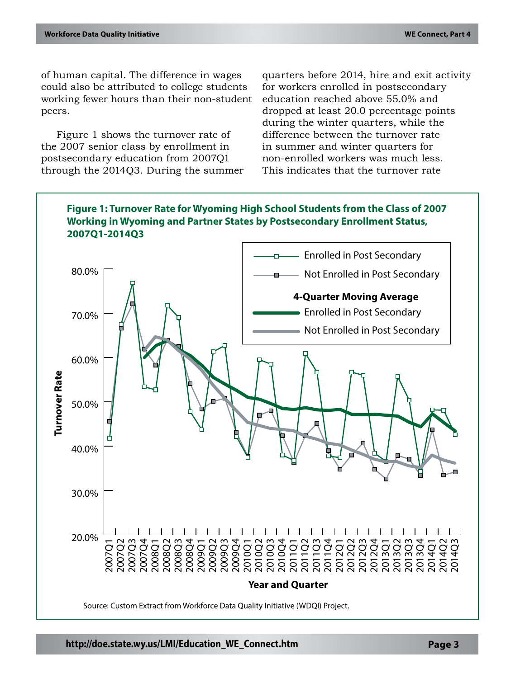of human capital. The difference in wages could also be attributed to college students working fewer hours than their non-student peers.

Figure 1 shows the turnover rate of the 2007 senior class by enrollment in postsecondary education from 2007Q1 through the 2014Q3. During the summer quarters before 2014, hire and exit activity for workers enrolled in postsecondary education reached above 55.0% and dropped at least 20.0 percentage points during the winter quarters, while the difference between the turnover rate in summer and winter quarters for non-enrolled workers was much less. This indicates that the turnover rate

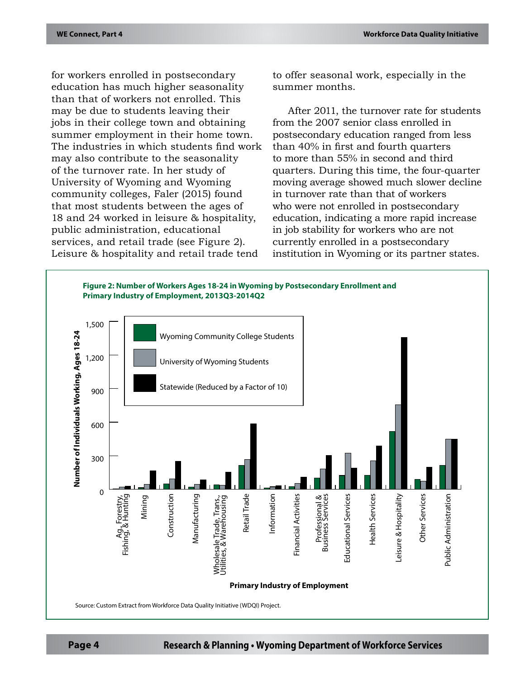for workers enrolled in postsecondary education has much higher seasonality than that of workers not enrolled. This may be due to students leaving their jobs in their college town and obtaining summer employment in their home town. The industries in which students find work may also contribute to the seasonality of the turnover rate. In her study of University of Wyoming and Wyoming community colleges, Faler (2015) found that most students between the ages of 18 and 24 worked in leisure & hospitality, public administration, educational services, and retail trade (see Figure 2). Leisure & hospitality and retail trade tend

to offer seasonal work, especially in the summer months.

After 2011, the turnover rate for students from the 2007 senior class enrolled in postsecondary education ranged from less than 40% in first and fourth quarters to more than 55% in second and third quarters. During this time, the four-quarter moving average showed much slower decline in turnover rate than that of workers who were not enrolled in postsecondary education, indicating a more rapid increase in job stability for workers who are not currently enrolled in a postsecondary institution in Wyoming or its partner states.

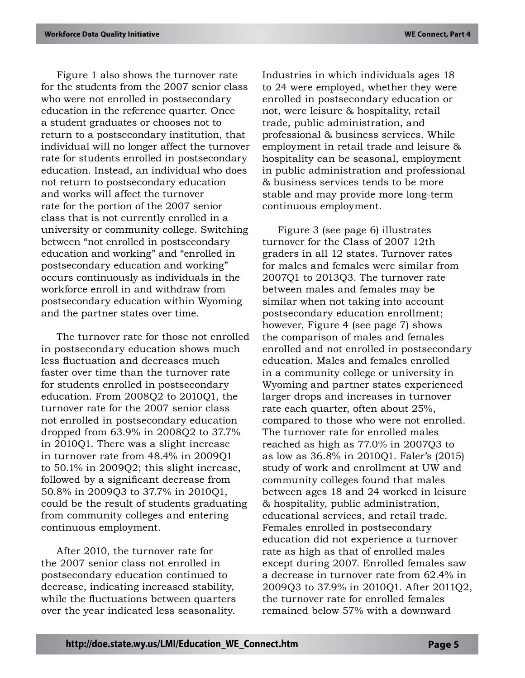Figure 1 also shows the turnover rate for the students from the 2007 senior class who were not enrolled in postsecondary education in the reference quarter. Once a student graduates or chooses not to return to a postsecondary institution, that individual will no longer affect the turnover rate for students enrolled in postsecondary education. Instead, an individual who does not return to postsecondary education and works will affect the turnover rate for the portion of the 2007 senior class that is not currently enrolled in a university or community college. Switching between "not enrolled in postsecondary education and working" and "enrolled in postsecondary education and working" occurs continuously as individuals in the workforce enroll in and withdraw from postsecondary education within Wyoming and the partner states over time.

The turnover rate for those not enrolled in postsecondary education shows much less fluctuation and decreases much faster over time than the turnover rate for students enrolled in postsecondary education. From 2008Q2 to 2010Q1, the turnover rate for the 2007 senior class not enrolled in postsecondary education dropped from 63.9% in 2008Q2 to 37.7% in 2010Q1. There was a slight increase in turnover rate from 48.4% in 2009Q1 to 50.1% in 2009Q2; this slight increase, followed by a significant decrease from 50.8% in 2009Q3 to 37.7% in 2010Q1, could be the result of students graduating from community colleges and entering continuous employment.

After 2010, the turnover rate for the 2007 senior class not enrolled in postsecondary education continued to decrease, indicating increased stability, while the fluctuations between quarters over the year indicated less seasonality. Industries in which individuals ages 18 to 24 were employed, whether they were enrolled in postsecondary education or not, were leisure & hospitality, retail trade, public administration, and professional & business services. While employment in retail trade and leisure & hospitality can be seasonal, employment in public administration and professional & business services tends to be more stable and may provide more long-term continuous employment.

Figure 3 (see page 6) illustrates turnover for the Class of 2007 12th graders in all 12 states. Turnover rates for males and females were similar from 2007Q1 to 2013Q3. The turnover rate between males and females may be similar when not taking into account postsecondary education enrollment; however, Figure 4 (see page 7) shows the comparison of males and females enrolled and not enrolled in postsecondary education. Males and females enrolled in a community college or university in Wyoming and partner states experienced larger drops and increases in turnover rate each quarter, often about 25%, compared to those who were not enrolled. The turnover rate for enrolled males reached as high as 77.0% in 2007Q3 to as low as 36.8% in 2010Q1. Faler's (2015) study of work and enrollment at UW and community colleges found that males between ages 18 and 24 worked in leisure & hospitality, public administration, educational services, and retail trade. Females enrolled in postsecondary education did not experience a turnover rate as high as that of enrolled males except during 2007. Enrolled females saw a decrease in turnover rate from 62.4% in 2009Q3 to 37.9% in 2010Q1. After 2011Q2, the turnover rate for enrolled females remained below 57% with a downward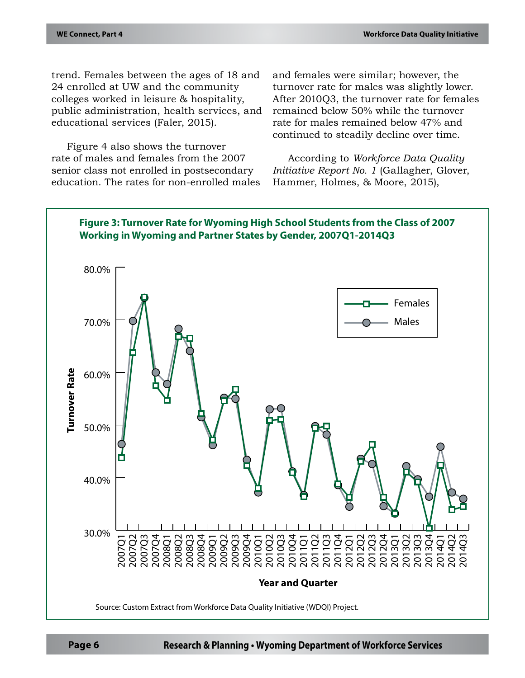trend. Females between the ages of 18 and 24 enrolled at UW and the community colleges worked in leisure & hospitality, public administration, health services, and educational services (Faler, 2015).

Figure 4 also shows the turnover rate of males and females from the 2007 senior class not enrolled in postsecondary education. The rates for non-enrolled males

and females were similar; however, the turnover rate for males was slightly lower. After 2010Q3, the turnover rate for females remained below 50% while the turnover rate for males remained below 47% and continued to steadily decline over time.

According to *Workforce Data Quality Initiative Report No. 1* (Gallagher, Glover, Hammer, Holmes, & Moore, 2015),

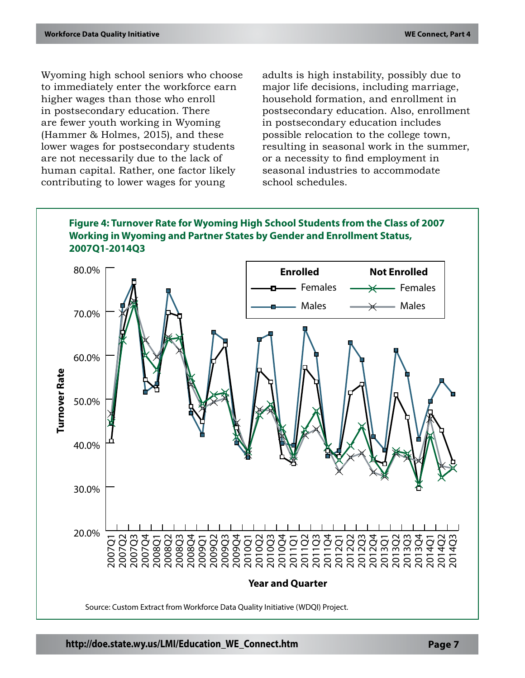Wyoming high school seniors who choose to immediately enter the workforce earn higher wages than those who enroll in postsecondary education. There are fewer youth working in Wyoming (Hammer & Holmes, 2015), and these lower wages for postsecondary students are not necessarily due to the lack of human capital. Rather, one factor likely contributing to lower wages for young

adults is high instability, possibly due to major life decisions, including marriage, household formation, and enrollment in postsecondary education. Also, enrollment in postsecondary education includes possible relocation to the college town, resulting in seasonal work in the summer, or a necessity to find employment in seasonal industries to accommodate school schedules.

## **Figure 4: Turnover Rate for Wyoming High School Students from the Class of 2007 Working in Wyoming and Partner States by Gender and Enrollment Status, 2007Q1-2014Q3**